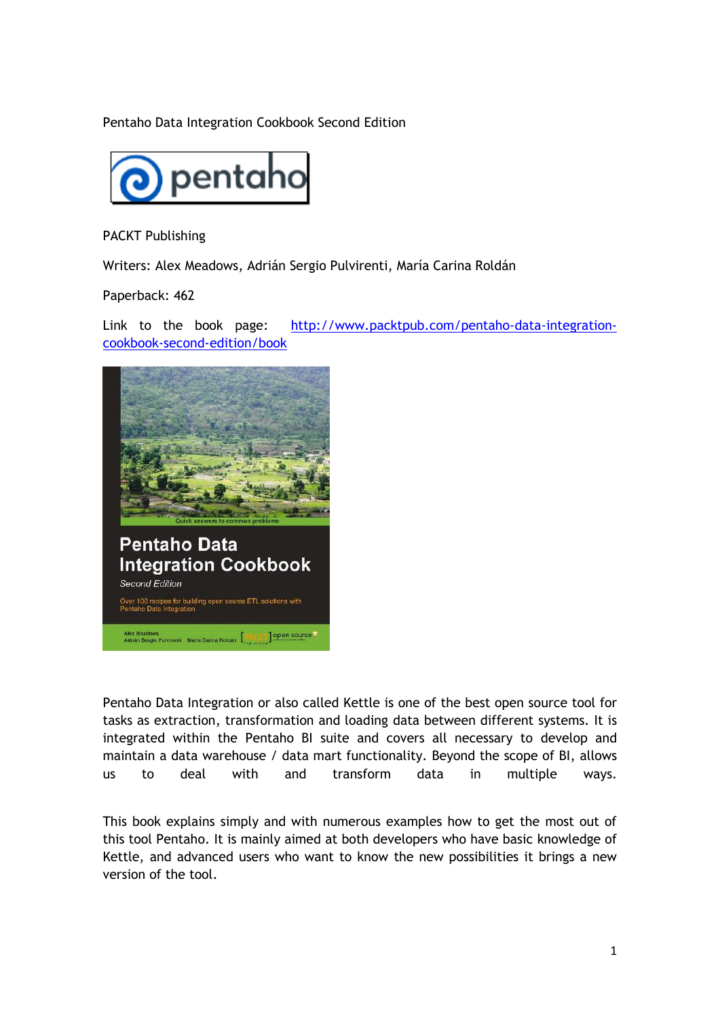Pentaho Data Integration Cookbook Second Edition



PACKT Publishing

Writers: Alex Meadows, Adrián Sergio Pulvirenti, María Carina Roldán

Paperback: 462

Link to the book page: [http://www.packtpub.com/pentaho-data-integration](http://www.packtpub.com/pentaho-data-integration-cookbook-second-edition/book)[cookbook-second-edition/book](http://www.packtpub.com/pentaho-data-integration-cookbook-second-edition/book)



Pentaho Data Integration or also called Kettle is one of the best open source tool for tasks as extraction, transformation and loading data between different systems. It is integrated within the Pentaho BI suite and covers all necessary to develop and maintain a data warehouse / data mart functionality. Beyond the scope of BI, allows us to deal with and transform data in multiple ways.

This book explains simply and with numerous examples how to get the most out of this tool Pentaho. It is mainly aimed at both developers who have basic knowledge of Kettle, and advanced users who want to know the new possibilities it brings a new version of the tool.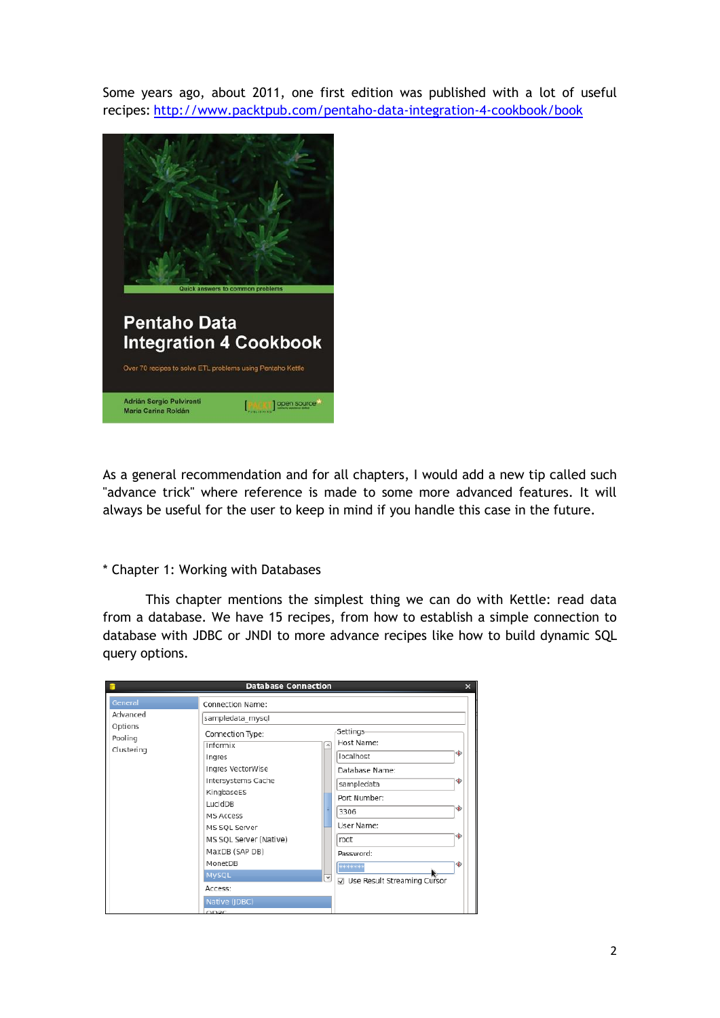Some years ago, about 2011, one first edition was published with a lot of useful recipes: <http://www.packtpub.com/pentaho-data-integration-4-cookbook/book>



As a general recommendation and for all chapters, I would add a new tip called such "advance trick" where reference is made to some more advanced features. It will always be useful for the user to keep in mind if you handle this case in the future.

## \* Chapter 1: Working with Databases

This chapter mentions the simplest thing we can do with Kettle: read data from a database. We have 15 recipes, from how to establish a simple connection to database with JDBC or JNDI to more advance recipes like how to build dynamic SQL query options.

|                                                         | <b>Database Connection</b>                                                                                                                                                                                                                                                |                          |                                                                                                                                                                              | $\boldsymbol{\times}$ |
|---------------------------------------------------------|---------------------------------------------------------------------------------------------------------------------------------------------------------------------------------------------------------------------------------------------------------------------------|--------------------------|------------------------------------------------------------------------------------------------------------------------------------------------------------------------------|-----------------------|
| General<br>Advanced<br>Options<br>Pooling<br>Clustering | <b>Connection Name:</b><br>sampledata mysql<br>Connection Type:<br>Informix<br>Ingres<br>Ingres VectorWise<br>Intersystems Cache<br>KingbaseES<br>LucidDB<br><b>MS Access</b><br>MS SQL Server<br>MS SQL Server (Native)<br>MaxDB (SAP DB)<br>MonetDB<br>MySQL<br>Access: | $\overline{\phantom{a}}$ | -Settings-<br>Host Name:<br>localhost<br>Database Name:<br>sampledata<br>Port Number:<br>3306<br>User Name:<br>root<br>Password:<br>+++++++<br>☑ Use Result Streaming Cursor | Ф<br>Ð<br>I ¢         |
|                                                         | Native (JDBC)<br>ODPC                                                                                                                                                                                                                                                     |                          |                                                                                                                                                                              |                       |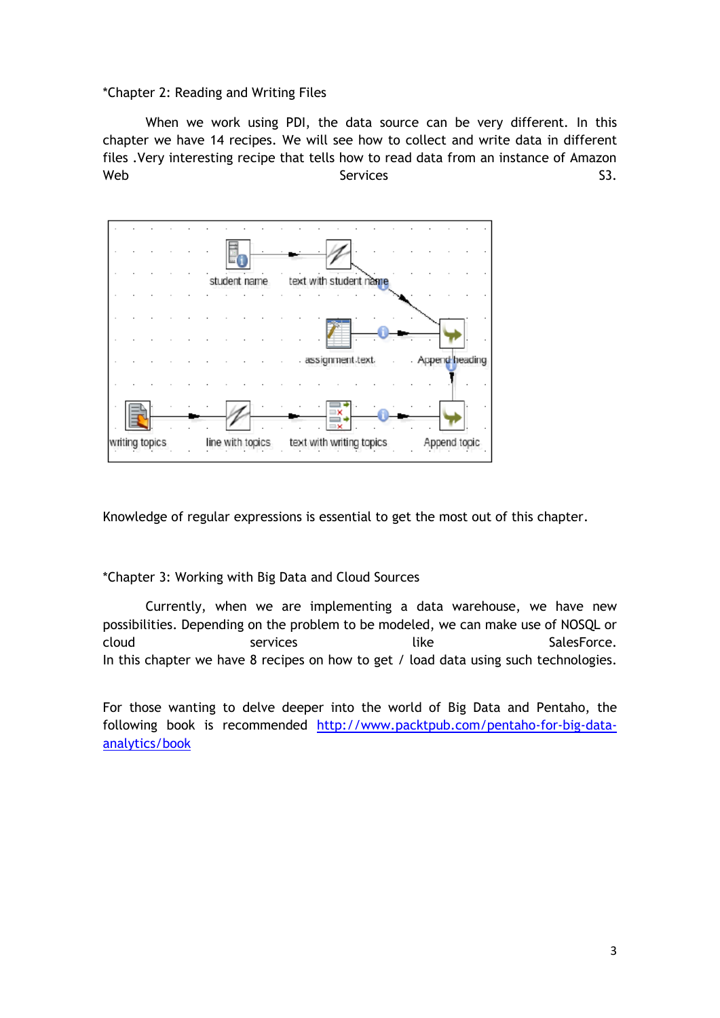\*Chapter 2: Reading and Writing Files

When we work using PDI, the data source can be very different. In this chapter we have 14 recipes. We will see how to collect and write data in different files .Very interesting recipe that tells how to read data from an instance of Amazon Web Services Services S3.



Knowledge of regular expressions is essential to get the most out of this chapter.

\*Chapter 3: Working with Big Data and Cloud Sources

Currently, when we are implementing a data warehouse, we have new possibilities. Depending on the problem to be modeled, we can make use of NOSQL or cloud services like SalesForce. In this chapter we have 8 recipes on how to get / load data using such technologies.

For those wanting to delve deeper into the world of Big Data and Pentaho, the following book is recommended [http://www.packtpub.com/pentaho-for-big-data](http://www.packtpub.com/pentaho-for-big-data-analytics/book)[analytics/book](http://www.packtpub.com/pentaho-for-big-data-analytics/book)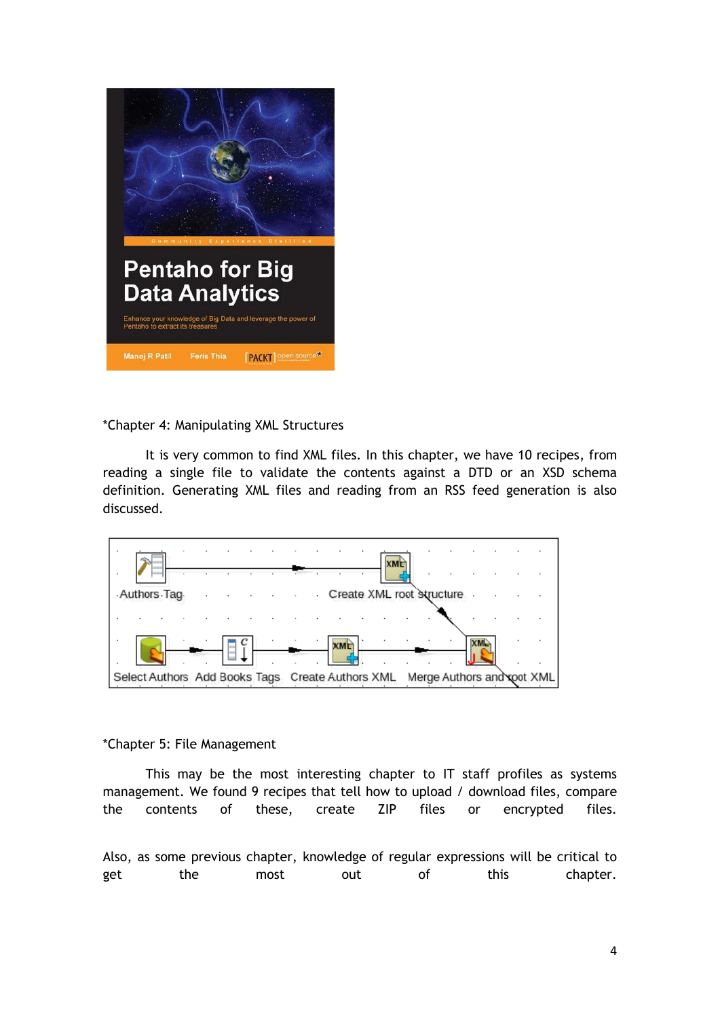

\*Chapter 4: Manipulating XML Structures

It is very common to find XML files. In this chapter, we have 10 recipes, from reading a single file to validate the contents against a DTD or an XSD schema definition. Generating XML files and reading from an RSS feed generation is also discussed.



\*Chapter 5: File Management

This may be the most interesting chapter to IT staff profiles as systems management. We found 9 recipes that tell how to upload / download files, compare the contents of these, create ZIP files or encrypted files.

Also, as some previous chapter, knowledge of regular expressions will be critical to get the most out of this chapter.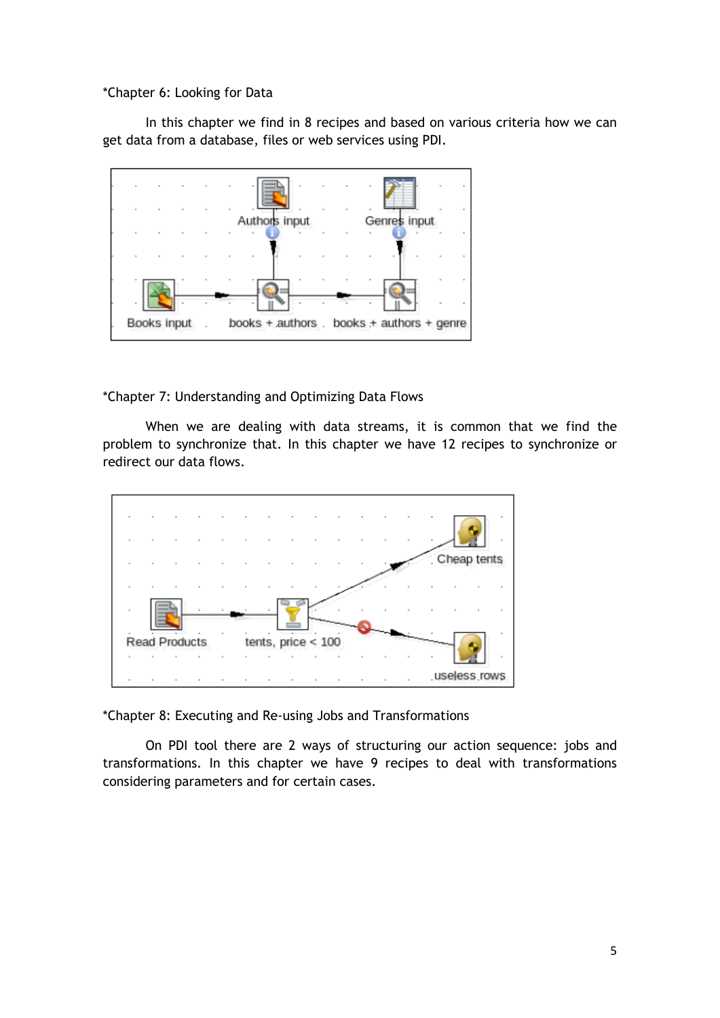\*Chapter 6: Looking for Data

In this chapter we find in 8 recipes and based on various criteria how we can get data from a database, files or web services using PDI.



\*Chapter 7: Understanding and Optimizing Data Flows

When we are dealing with data streams, it is common that we find the problem to synchronize that. In this chapter we have 12 recipes to synchronize or redirect our data flows.



\*Chapter 8: Executing and Re-using Jobs and Transformations

On PDI tool there are 2 ways of structuring our action sequence: jobs and transformations. In this chapter we have 9 recipes to deal with transformations considering parameters and for certain cases.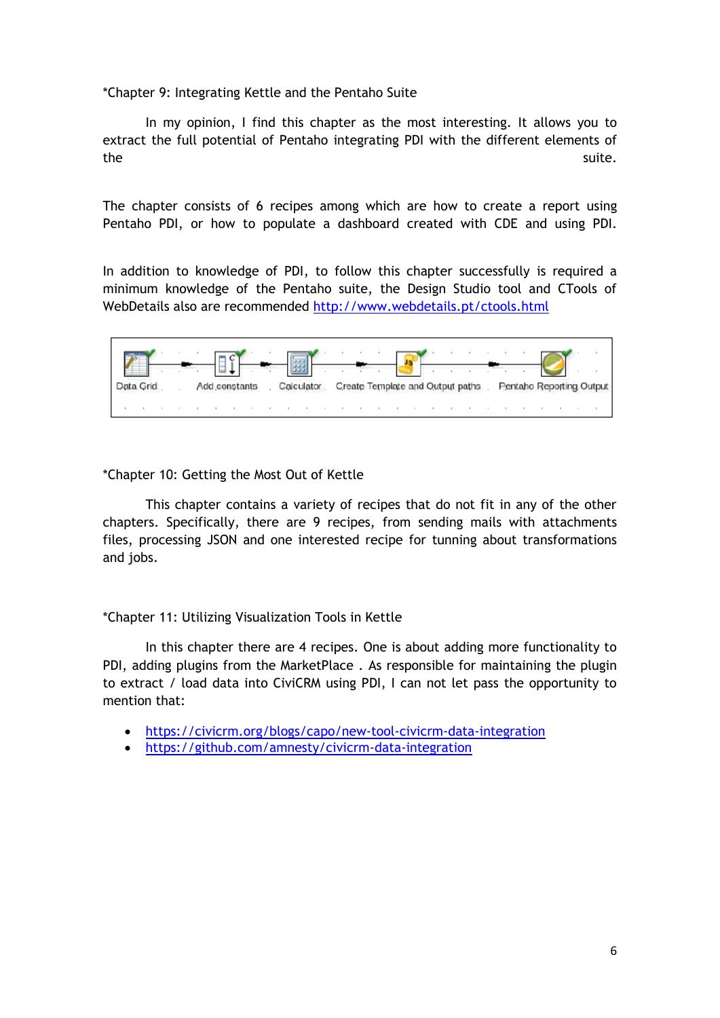\*Chapter 9: Integrating Kettle and the Pentaho Suite

In my opinion, I find this chapter as the most interesting. It allows you to extract the full potential of Pentaho integrating PDI with the different elements of the suite.

The chapter consists of 6 recipes among which are how to create a report using Pentaho PDI, or how to populate a dashboard created with CDE and using PDI.

In addition to knowledge of PDI, to follow this chapter successfully is required a minimum knowledge of the Pentaho suite, the Design Studio tool and CTools of WebDetails also are recommended<http://www.webdetails.pt/ctools.html>



\*Chapter 10: Getting the Most Out of Kettle

This chapter contains a variety of recipes that do not fit in any of the other chapters. Specifically, there are 9 recipes, from sending mails with attachments files, processing JSON and one interested recipe for tunning about transformations and jobs.

\*Chapter 11: Utilizing Visualization Tools in Kettle

In this chapter there are 4 recipes. One is about adding more functionality to PDI, adding plugins from the MarketPlace . As responsible for maintaining the plugin to extract / load data into CiviCRM using PDI, I can not let pass the opportunity to mention that:

- <https://civicrm.org/blogs/capo/new-tool-civicrm-data-integration>
- <https://github.com/amnesty/civicrm-data-integration>